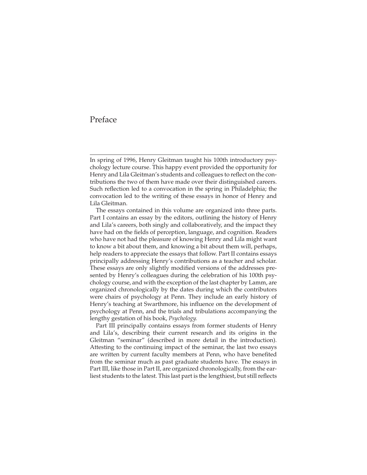## Preface

In spring of 1996, Henry Gleitman taught his 100th introductory psy[chology lecture course. This happy event provided the opportunity for](#page--1-0) Henry and Lila Gleitman's students and colleagues to reflect on the contributions the two of them have made over their distinguished careers. Such reflection led to a convocation in the spring in Philadelphia; the convocation led to the writing of these essays in honor of Henry and Lila Gleitman.

The essays contained in this volume are organized into three parts. Part I contains an essay by the editors, outlining the history of Henry and Lila's careers, both singly and collaboratively, and the impact they have had on the fields of perception, language, and cognition. Readers who have not had the pleasure of knowing Henry and Lila might want to know a bit about them, and knowing a bit about them will, perhaps, help readers to appreciate the essays that follow. Part II contains essays principally addressing Henry's contributions as a teacher and scholar. These essays are only slightly modified versions of the addresses presented by Henry's colleagues during the celebration of his 100th psychology course, and with the exception of the last chapter by Lamm, are organized chronologically by the dates during which the contributors were chairs of psychology at Penn. They include an early history of Henry's teaching at Swarthmore, his influence on the development of psychology at Penn, and the trials and tribulations accompanying the lengthy gestation of his book, *Psychology.*

Part III principally contains essays from former students of Henry and Lila's, describing their current research and its origins in the Gleitman "seminar" (described in more detail in the introduction). Attesting to the continuing impact of the seminar, the last two essays are written by current faculty members at Penn, who have benefited from the seminar much as past graduate students have. The essays in Part III, like those in Part II, are organized chronologically, from the earliest students to the latest. This last part is the lengthiest, but still reflects